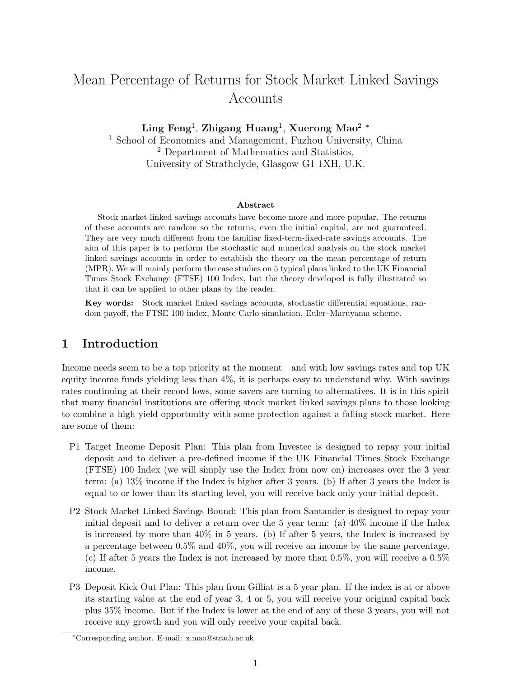# Mean Percentage of Returns for Stock Market Linked Savings Accounts

Ling Feng<sup>1</sup>, Zhigang Huang<sup>1</sup>, Xuerong Mao<sup>2</sup> \*

<sup>1</sup> School of Economics and Management, Fuzhou University, China <sup>2</sup> Department of Mathematics and Statistics, University of Strathclyde, Glasgow G1 1XH, U.K.

#### Abstract

Stock market linked savings accounts have become more and more popular. The returns of these accounts are random so the returns, even the initial capital, are not guaranteed. They are very much different from the familiar fixed-term-fixed-rate savings accounts. The aim of this paper is to perform the stochastic and numerical analysis on the stock market linked savings accounts in order to establish the theory on the mean percentage of return (MPR). We will mainly perform the case studies on 5 typical plans linked to the UK Financial Times Stock Exchange (FTSE) 100 Index, but the theory developed is fully illustrated so that it can be applied to other plans by the reader.

Key words: Stock market linked savings accounts, stochastic differential equations, random payoff, the FTSE 100 index, Monte Carlo simulation, Euler–Maruyama scheme.

# 1 Introduction

Income needs seem to be a top priority at the moment—and with low savings rates and top UK equity income funds yielding less than 4%, it is perhaps easy to understand why. With savings rates continuing at their record lows, some savers are turning to alternatives. It is in this spirit that many financial institutions are offering stock market linked savings plans to those looking to combine a high yield opportunity with some protection against a falling stock market. Here are some of them:

- P1 Target Income Deposit Plan: This plan from Investec is designed to repay your initial deposit and to deliver a pre-defined income if the UK Financial Times Stock Exchange (FTSE) 100 Index (we will simply use the Index from now on) increases over the 3 year term: (a) 13% income if the Index is higher after 3 years. (b) If after 3 years the Index is equal to or lower than its starting level, you will receive back only your initial deposit.
- P2 Stock Market Linked Savings Bound: This plan from Santander is designed to repay your initial deposit and to deliver a return over the 5 year term: (a)  $40\%$  income if the Index is increased by more than 40% in 5 years. (b) If after 5 years, the Index is increased by a percentage between 0.5% and 40%, you will receive an income by the same percentage. (c) If after 5 years the Index is not increased by more than 0.5%, you will receive a 0.5% income.
- P3 Deposit Kick Out Plan: This plan from Gilliat is a 5 year plan. If the index is at or above its starting value at the end of year 3, 4 or 5, you will receive your original capital back plus 35% income. But if the Index is lower at the end of any of these 3 years, you will not receive any growth and you will only receive your capital back.

<sup>∗</sup>Corresponding author. E-mail: x.mao@strath.ac.uk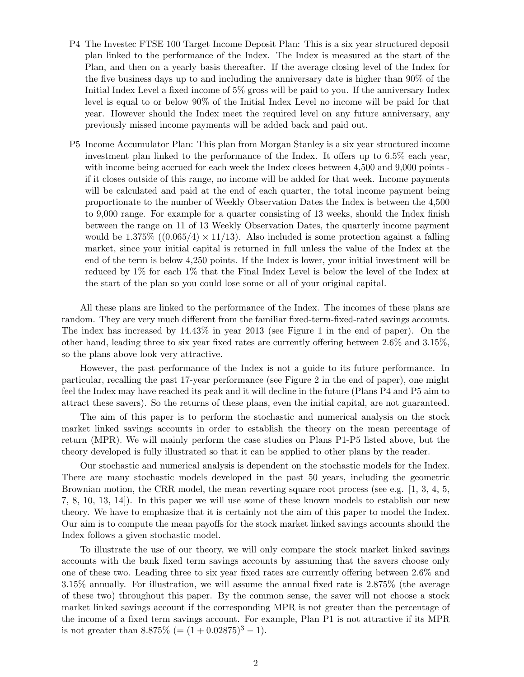- P4 The Investec FTSE 100 Target Income Deposit Plan: This is a six year structured deposit plan linked to the performance of the Index. The Index is measured at the start of the Plan, and then on a yearly basis thereafter. If the average closing level of the Index for the five business days up to and including the anniversary date is higher than 90% of the Initial Index Level a fixed income of 5% gross will be paid to you. If the anniversary Index level is equal to or below 90% of the Initial Index Level no income will be paid for that year. However should the Index meet the required level on any future anniversary, any previously missed income payments will be added back and paid out.
- P5 Income Accumulator Plan: This plan from Morgan Stanley is a six year structured income investment plan linked to the performance of the Index. It offers up to 6.5% each year, with income being accrued for each week the Index closes between 4,500 and 9,000 points if it closes outside of this range, no income will be added for that week. Income payments will be calculated and paid at the end of each quarter, the total income payment being proportionate to the number of Weekly Observation Dates the Index is between the 4,500 to 9,000 range. For example for a quarter consisting of 13 weeks, should the Index finish between the range on 11 of 13 Weekly Observation Dates, the quarterly income payment would be  $1.375\%$  ((0.065/4)  $\times$  11/13). Also included is some protection against a falling market, since your initial capital is returned in full unless the value of the Index at the end of the term is below 4,250 points. If the Index is lower, your initial investment will be reduced by 1% for each 1% that the Final Index Level is below the level of the Index at the start of the plan so you could lose some or all of your original capital.

All these plans are linked to the performance of the Index. The incomes of these plans are random. They are very much different from the familiar fixed-term-fixed-rated savings accounts. The index has increased by 14.43% in year 2013 (see Figure 1 in the end of paper). On the other hand, leading three to six year fixed rates are currently offering between 2.6% and 3.15%, so the plans above look very attractive.

However, the past performance of the Index is not a guide to its future performance. In particular, recalling the past 17-year performance (see Figure 2 in the end of paper), one might feel the Index may have reached its peak and it will decline in the future (Plans P4 and P5 aim to attract these savers). So the returns of these plans, even the initial capital, are not guaranteed.

The aim of this paper is to perform the stochastic and numerical analysis on the stock market linked savings accounts in order to establish the theory on the mean percentage of return (MPR). We will mainly perform the case studies on Plans P1-P5 listed above, but the theory developed is fully illustrated so that it can be applied to other plans by the reader.

Our stochastic and numerical analysis is dependent on the stochastic models for the Index. There are many stochastic models developed in the past 50 years, including the geometric Brownian motion, the CRR model, the mean reverting square root process (see e.g. [1, 3, 4, 5, 7, 8, 10, 13, 14]). In this paper we will use some of these known models to establish our new theory. We have to emphasize that it is certainly not the aim of this paper to model the Index. Our aim is to compute the mean payoffs for the stock market linked savings accounts should the Index follows a given stochastic model.

To illustrate the use of our theory, we will only compare the stock market linked savings accounts with the bank fixed term savings accounts by assuming that the savers choose only one of these two. Leading three to six year fixed rates are currently offering between 2.6% and 3.15% annually. For illustration, we will assume the annual fixed rate is 2.875% (the average of these two) throughout this paper. By the common sense, the saver will not choose a stock market linked savings account if the corresponding MPR is not greater than the percentage of the income of a fixed term savings account. For example, Plan P1 is not attractive if its MPR is not greater than  $8.875\%$  (=  $(1 + 0.02875)^3 - 1$ ).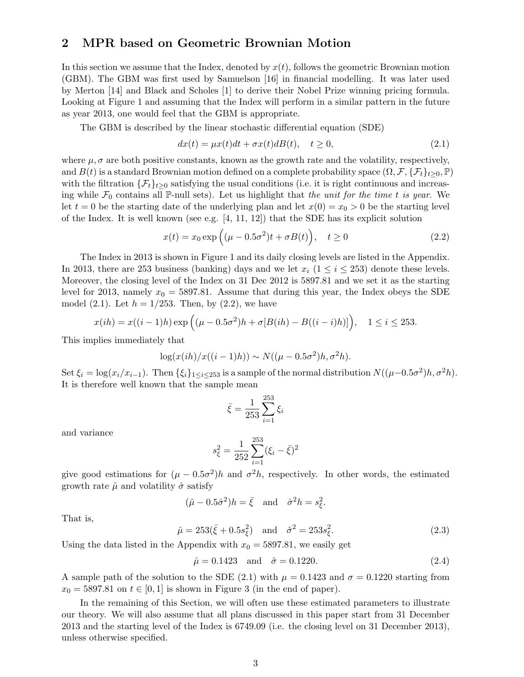### 2 MPR based on Geometric Brownian Motion

In this section we assume that the Index, denoted by  $x(t)$ , follows the geometric Brownian motion (GBM). The GBM was first used by Samuelson [16] in financial modelling. It was later used by Merton [14] and Black and Scholes [1] to derive their Nobel Prize winning pricing formula. Looking at Figure 1 and assuming that the Index will perform in a similar pattern in the future as year 2013, one would feel that the GBM is appropriate.

The GBM is described by the linear stochastic differential equation (SDE)

$$
dx(t) = \mu x(t)dt + \sigma x(t)dB(t), \quad t \ge 0,
$$
\n(2.1)

where  $\mu$ ,  $\sigma$  are both positive constants, known as the growth rate and the volatility, respectively, and  $B(t)$  is a standard Brownian motion defined on a complete probability space  $(\Omega, \mathcal{F}, \{\mathcal{F}_t\}_{t>0}, \mathbb{P})$ with the filtration  $\{\mathcal{F}_t\}_{t>0}$  satisfying the usual conditions (i.e. it is right continuous and increasing while  $\mathcal{F}_0$  contains all P-null sets). Let us highlight that the unit for the time t is year. We let  $t = 0$  be the starting date of the underlying plan and let  $x(0) = x_0 > 0$  be the starting level of the Index. It is well known (see e.g.  $[4, 11, 12]$ ) that the SDE has its explicit solution

$$
x(t) = x_0 \exp\left((\mu - 0.5\sigma^2)t + \sigma B(t)\right), \quad t \ge 0
$$
\n(2.2)

The Index in 2013 is shown in Figure 1 and its daily closing levels are listed in the Appendix. In 2013, there are 253 business (banking) days and we let  $x_i$  ( $1 \le i \le 253$ ) denote these levels. Moreover, the closing level of the Index on 31 Dec 2012 is 5897.81 and we set it as the starting level for 2013, namely  $x_0 = 5897.81$ . Assume that during this year, the Index obeys the SDE model (2.1). Let  $h = 1/253$ . Then, by (2.2), we have

$$
x(ih) = x((i-1)h) \exp\left((\mu - 0.5\sigma^2)h + \sigma[B(ih) - B((i-i)h)]\right), \quad 1 \le i \le 253.
$$

This implies immediately that

$$
\log(x(ih)/x((i-1)h)) \sim N((\mu - 0.5\sigma^2)h, \sigma^2 h).
$$

Set  $\xi_i = \log(x_i/x_{i-1})$ . Then  $\{\xi_i\}_{1 \leq i \leq 253}$  is a sample of the normal distribution  $N((\mu-0.5\sigma^2)h, \sigma^2h)$ . It is therefore well known that the sample mean

$$
\bar{\xi} = \frac{1}{253} \sum_{i=1}^{253} \xi_i
$$

and variance

$$
s_{\xi}^{2} = \frac{1}{252} \sum_{i=1}^{253} (\xi_{i} - \bar{\xi})^{2}
$$

give good estimations for  $(\mu - 0.5\sigma^2)h$  and  $\sigma^2 h$ , respectively. In other words, the estimated growth rate  $\hat{\mu}$  and volatility  $\hat{\sigma}$  satisfy

$$
(\hat{\mu} - 0.5\hat{\sigma}^2)h = \bar{\xi}
$$
 and  $\hat{\sigma}^2 h = s_{\xi}^2$ .

That is,

$$
\hat{\mu} = 253(\bar{\xi} + 0.5s_{\xi}^2)
$$
 and  $\hat{\sigma}^2 = 253s_{\xi}^2$ . (2.3)

Using the data listed in the Appendix with  $x_0 = 5897.81$ , we easily get

$$
\hat{\mu} = 0.1423 \quad \text{and} \quad \hat{\sigma} = 0.1220. \tag{2.4}
$$

A sample path of the solution to the SDE (2.1) with  $\mu = 0.1423$  and  $\sigma = 0.1220$  starting from  $x_0 = 5897.81$  on  $t \in [0, 1]$  is shown in Figure 3 (in the end of paper).

In the remaining of this Section, we will often use these estimated parameters to illustrate our theory. We will also assume that all plans discussed in this paper start from 31 December 2013 and the starting level of the Index is 6749.09 (i.e. the closing level on 31 December 2013), unless otherwise specified.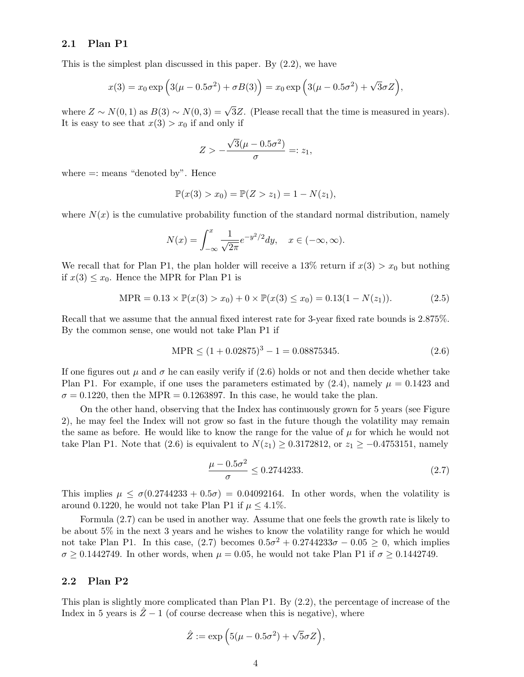#### 2.1 Plan P1

This is the simplest plan discussed in this paper. By (2.2), we have

$$
x(3) = x_0 \exp\left(3(\mu - 0.5\sigma^2) + \sigma B(3)\right) = x_0 \exp\left(3(\mu - 0.5\sigma^2) + \sqrt{3}\sigma Z\right),
$$

where  $Z \sim N(0, 1)$  as  $B(3) \sim N(0, 3) = \sqrt{3}Z$ . (Please recall that the time is measured in years). It is easy to see that  $x(3) > x_0$  if and only if

$$
Z > -\frac{\sqrt{3}(\mu - 0.5\sigma^2)}{\sigma} =: z_1,
$$

where  $=$ : means "denoted by". Hence

$$
\mathbb{P}(x(3) > x_0) = \mathbb{P}(Z > z_1) = 1 - N(z_1),
$$

where  $N(x)$  is the cumulative probability function of the standard normal distribution, namely

$$
N(x) = \int_{-\infty}^{x} \frac{1}{\sqrt{2\pi}} e^{-y^2/2} dy, \quad x \in (-\infty, \infty).
$$

We recall that for Plan P1, the plan holder will receive a 13% return if  $x(3) > x_0$  but nothing if  $x(3) \leq x_0$ . Hence the MPR for Plan P1 is

$$
\text{MPR} = 0.13 \times \mathbb{P}(x(3) > x_0) + 0 \times \mathbb{P}(x(3) \le x_0) = 0.13(1 - N(z_1)).\tag{2.5}
$$

Recall that we assume that the annual fixed interest rate for 3-year fixed rate bounds is 2.875%. By the common sense, one would not take Plan P1 if

$$
MPR \le (1 + 0.02875)^3 - 1 = 0.08875345. \tag{2.6}
$$

If one figures out  $\mu$  and  $\sigma$  he can easily verify if (2.6) holds or not and then decide whether take Plan P1. For example, if one uses the parameters estimated by  $(2.4)$ , namely  $\mu = 0.1423$  and  $\sigma = 0.1220$ , then the MPR = 0.1263897. In this case, he would take the plan.

On the other hand, observing that the Index has continuously grown for 5 years (see Figure 2), he may feel the Index will not grow so fast in the future though the volatility may remain the same as before. He would like to know the range for the value of  $\mu$  for which he would not take Plan P1. Note that (2.6) is equivalent to  $N(z_1) \geq 0.3172812$ , or  $z_1 \geq -0.4753151$ , namely

$$
\frac{\mu - 0.5\sigma^2}{\sigma} \le 0.2744233.\tag{2.7}
$$

This implies  $\mu \leq \sigma(0.2744233 + 0.5\sigma) = 0.04092164$ . In other words, when the volatility is around 0.1220, he would not take Plan P1 if  $\mu \leq 4.1\%$ .

Formula (2.7) can be used in another way. Assume that one feels the growth rate is likely to be about 5% in the next 3 years and he wishes to know the volatility range for which he would not take Plan P1. In this case,  $(2.7)$  becomes  $0.5\sigma^2 + 0.2744233\sigma - 0.05 \geq 0$ , which implies  $\sigma \geq 0.1442749$ . In other words, when  $\mu = 0.05$ , he would not take Plan P1 if  $\sigma \geq 0.1442749$ .

#### 2.2 Plan P2

This plan is slightly more complicated than Plan P1. By (2.2), the percentage of increase of the Index in 5 years is  $\hat{Z}$  − 1 (of course decrease when this is negative), where

$$
\hat{Z} := \exp\left(5(\mu - 0.5\sigma^2) + \sqrt{5}\sigma Z\right),\,
$$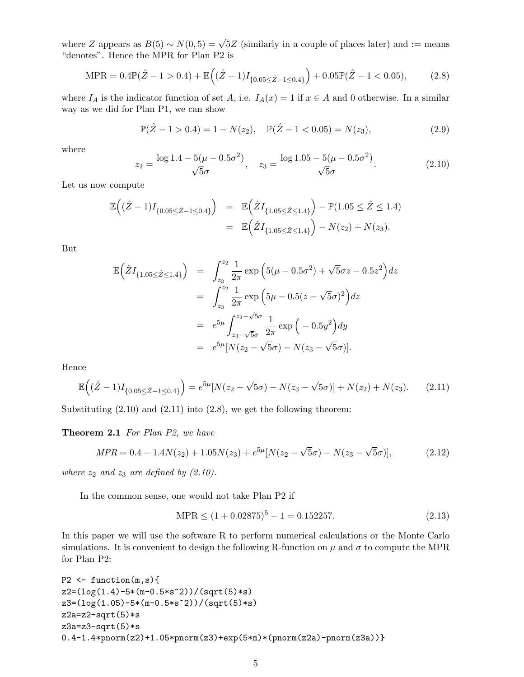where Z appears as  $B(5) \sim N(0, 5) = \sqrt{5}Z$  (similarly in a couple of places later) and := means "denotes". Hence the MPR for Plan P2 is

$$
\text{MPR} = 0.4\mathbb{P}(\hat{Z} - 1 > 0.4) + \mathbb{E}\left((\hat{Z} - 1)I_{\{0.05 \le \hat{Z} - 1 \le 0.4\}}\right) + 0.05\mathbb{P}(\hat{Z} - 1 < 0.05),\tag{2.8}
$$

where  $I_A$  is the indicator function of set A, i.e.  $I_A(x) = 1$  if  $x \in A$  and 0 otherwise. In a similar way as we did for Plan P1, we can show

$$
\mathbb{P}(\hat{Z} - 1 > 0.4) = 1 - N(z_2), \quad \mathbb{P}(\hat{Z} - 1 < 0.05) = N(z_3), \tag{2.9}
$$

where

$$
z_2 = \frac{\log 1.4 - 5(\mu - 0.5\sigma^2)}{\sqrt{5}\sigma}, \quad z_3 = \frac{\log 1.05 - 5(\mu - 0.5\sigma^2)}{\sqrt{5}\sigma}.
$$
 (2.10)

Let us now compute

$$
\mathbb{E}\left((\hat{Z}-1)I_{\{0.05\leq\hat{Z}-1\leq0.4\}}\right) = \mathbb{E}\left(\hat{Z}I_{\{1.05\leq\hat{Z}\leq1.4\}}\right) - \mathbb{P}(1.05\leq\hat{Z}\leq1.4) \n= \mathbb{E}\left(\hat{Z}I_{\{1.05\leq\hat{Z}\leq1.4\}}\right) - N(z_2) + N(z_3).
$$

But

$$
\mathbb{E}\left(\hat{Z}I_{\{1.05\leq\hat{Z}\leq1.4\}}\right) = \int_{z_3}^{z_2} \frac{1}{2\pi} \exp\left(5(\mu - 0.5\sigma^2) + \sqrt{5}\sigma z - 0.5z^2\right) dz
$$
  
\n
$$
= \int_{z_3}^{z_2} \frac{1}{2\pi} \exp\left(5\mu - 0.5(z - \sqrt{5}\sigma)^2\right) dz
$$
  
\n
$$
= e^{5\mu} \int_{z_3 - \sqrt{5}\sigma}^{z_2 - \sqrt{5}\sigma} \frac{1}{2\pi} \exp\left(-0.5y^2\right) dy
$$
  
\n
$$
= e^{5\mu} [N(z_2 - \sqrt{5}\sigma) - N(z_3 - \sqrt{5}\sigma)].
$$

Hence

$$
\mathbb{E}\left((\hat{Z}-1)I_{\{0.05\leq\hat{Z}-1\leq0.4\}}\right)=e^{5\mu}[N(z_2-\sqrt{5}\sigma)-N(z_3-\sqrt{5}\sigma)]+N(z_2)+N(z_3). \tag{2.11}
$$

Substituting  $(2.10)$  and  $(2.11)$  into  $(2.8)$ , we get the following theorem:

Theorem 2.1 For Plan P2, we have

$$
MPR = 0.4 - 1.4N(z_2) + 1.05N(z_3) + e^{5\mu}[N(z_2 - \sqrt{5}\sigma) - N(z_3 - \sqrt{5}\sigma)],
$$
\n(2.12)

where  $z_2$  and  $z_3$  are defined by (2.10).

In the common sense, one would not take Plan P2 if

$$
MPR \le (1 + 0.02875)^5 - 1 = 0.152257. \tag{2.13}
$$

In this paper we will use the software R to perform numerical calculations or the Monte Carlo simulations. It is convenient to design the following R-function on  $\mu$  and  $\sigma$  to compute the MPR for Plan P2:

```
P2 \leftarrow function(m, s){
z2=(log(1.4)-5*(m-0.5*s^2))/(sqrt(5)*s)
z3=(log(1.05)-5*(m-0.5*s^2))/(sqrt(5)*s)
z2a=z2-sqrt(5)*sz3a=z3-sqrt(5)*s0.4-1.4*pnorm(z2)+1.05*pnorm(z3)+exp(5*m)*(pnorm(z2a)-pnorm(z3a))}
```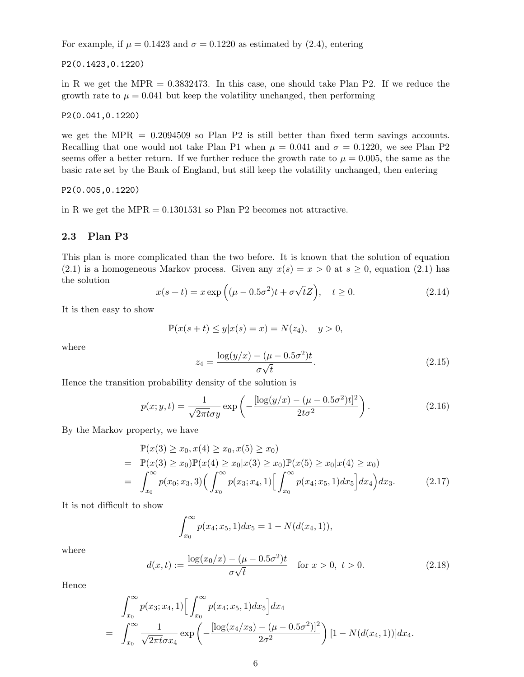For example, if  $\mu = 0.1423$  and  $\sigma = 0.1220$  as estimated by (2.4), entering

P2(0.1423,0.1220)

in R we get the MPR  $= 0.3832473$ . In this case, one should take Plan P2. If we reduce the growth rate to  $\mu = 0.041$  but keep the volatility unchanged, then performing

P2(0.041,0.1220)

we get the MPR  $= 0.2094509$  so Plan P2 is still better than fixed term savings accounts. Recalling that one would not take Plan P1 when  $\mu = 0.041$  and  $\sigma = 0.1220$ , we see Plan P2 seems offer a better return. If we further reduce the growth rate to  $\mu = 0.005$ , the same as the basic rate set by the Bank of England, but still keep the volatility unchanged, then entering

P2(0.005,0.1220)

in R we get the MPR  $= 0.1301531$  so Plan P2 becomes not attractive.

#### 2.3 Plan P3

This plan is more complicated than the two before. It is known that the solution of equation (2.1) is a homogeneous Markov process. Given any  $x(s) = x > 0$  at  $s \ge 0$ , equation (2.1) has the solution √

$$
x(s+t) = x \exp\left((\mu - 0.5\sigma^2)t + \sigma\sqrt{t}Z\right), \quad t \ge 0. \tag{2.14}
$$

It is then easy to show

$$
\mathbb{P}(x(s+t)\leq y|x(s)=x)=N(z_4),\quad y>0,
$$

where

$$
z_4 = \frac{\log(y/x) - (\mu - 0.5\sigma^2)t}{\sigma\sqrt{t}}.\tag{2.15}
$$

Hence the transition probability density of the solution is

$$
p(x; y, t) = \frac{1}{\sqrt{2\pi t}\sigma y} \exp\left(-\frac{[\log(y/x) - (\mu - 0.5\sigma^2)t]^2}{2t\sigma^2}\right).
$$
 (2.16)

By the Markov property, we have

$$
\mathbb{P}(x(3) \ge x_0, x(4) \ge x_0, x(5) \ge x_0)
$$
\n
$$
= \mathbb{P}(x(3) \ge x_0)\mathbb{P}(x(4) \ge x_0|x(3) \ge x_0)\mathbb{P}(x(5) \ge x_0|x(4) \ge x_0)
$$
\n
$$
= \int_{x_0}^{\infty} p(x_0; x_3, 3) \Big(\int_{x_0}^{\infty} p(x_3; x_4, 1) \Big[\int_{x_0}^{\infty} p(x_4; x_5, 1) dx_5\Big] dx_4\Big) dx_3. \tag{2.17}
$$

It is not difficult to show

$$
\int_{x_0}^{\infty} p(x_4; x_5, 1) dx_5 = 1 - N(d(x_4, 1)),
$$

where

$$
d(x,t) := \frac{\log(x_0/x) - (\mu - 0.5\sigma^2)t}{\sigma\sqrt{t}} \quad \text{for } x > 0, \ t > 0.
$$
 (2.18)

Hence

$$
\int_{x_0}^{\infty} p(x_3; x_4, 1) \left[ \int_{x_0}^{\infty} p(x_4; x_5, 1) dx_5 \right] dx_4
$$
  
= 
$$
\int_{x_0}^{\infty} \frac{1}{\sqrt{2\pi t} \sigma x_4} \exp \left( -\frac{[\log(x_4/x_3) - (\mu - 0.5\sigma^2)]^2}{2\sigma^2} \right) [1 - N(d(x_4, 1))] dx_4.
$$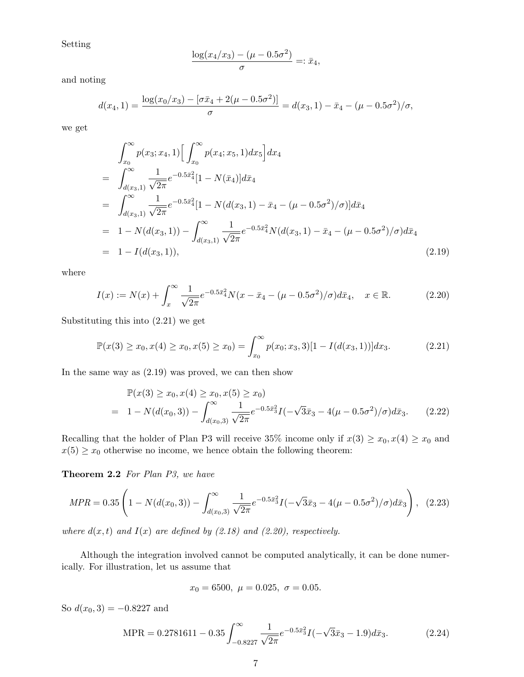Setting

$$
\frac{\log(x_4/x_3) - (\mu - 0.5\sigma^2)}{\sigma} =: \bar{x}_4,
$$

and noting

$$
d(x_4,1) = \frac{\log(x_0/x_3) - [\sigma \bar{x}_4 + 2(\mu - 0.5\sigma^2)]}{\sigma} = d(x_3,1) - \bar{x}_4 - (\mu - 0.5\sigma^2)/\sigma,
$$

we get

$$
\int_{x_0}^{\infty} p(x_3; x_4, 1) \Big[ \int_{x_0}^{\infty} p(x_4; x_5, 1) dx_5 \Big] dx_4
$$
  
\n
$$
= \int_{d(x_3, 1)}^{\infty} \frac{1}{\sqrt{2\pi}} e^{-0.5\bar{x}_4^2} [1 - N(\bar{x}_4)] d\bar{x}_4
$$
  
\n
$$
= \int_{d(x_3, 1)}^{\infty} \frac{1}{\sqrt{2\pi}} e^{-0.5\bar{x}_4^2} [1 - N(d(x_3, 1) - \bar{x}_4 - (\mu - 0.5\sigma^2)/\sigma)] d\bar{x}_4
$$
  
\n
$$
= 1 - N(d(x_3, 1)) - \int_{d(x_3, 1)}^{\infty} \frac{1}{\sqrt{2\pi}} e^{-0.5\bar{x}_4^2} N(d(x_3, 1) - \bar{x}_4 - (\mu - 0.5\sigma^2)/\sigma) d\bar{x}_4
$$
  
\n
$$
= 1 - I(d(x_3, 1)), \qquad (2.19)
$$

where

$$
I(x) := N(x) + \int_{x}^{\infty} \frac{1}{\sqrt{2\pi}} e^{-0.5\bar{x}_4^2} N(x - \bar{x}_4 - (\mu - 0.5\sigma^2)/\sigma) d\bar{x}_4, \quad x \in \mathbb{R}.
$$
 (2.20)

Substituting this into (2.21) we get

$$
\mathbb{P}(x(3) \ge x_0, x(4) \ge x_0, x(5) \ge x_0) = \int_{x_0}^{\infty} p(x_0; x_3, 3)[1 - I(d(x_3, 1))]dx_3.
$$
 (2.21)

In the same way as (2.19) was proved, we can then show

$$
\mathbb{P}(x(3) \ge x_0, x(4) \ge x_0, x(5) \ge x_0)
$$
\n
$$
= 1 - N(d(x_0, 3)) - \int_{d(x_0, 3)}^{\infty} \frac{1}{\sqrt{2\pi}} e^{-0.5\bar{x}_3^2} I(-\sqrt{3}\bar{x}_3 - 4(\mu - 0.5\sigma^2)/\sigma) d\bar{x}_3. \tag{2.22}
$$

Recalling that the holder of Plan P3 will receive 35% income only if  $x(3) \ge x_0, x(4) \ge x_0$  and  $x(5) \geq x_0$  otherwise no income, we hence obtain the following theorem:

Theorem 2.2 For Plan P3, we have

$$
MPR = 0.35 \left( 1 - N(d(x_0, 3)) - \int_{d(x_0, 3)}^{\infty} \frac{1}{\sqrt{2\pi}} e^{-0.5\bar{x}_3^2} I(-\sqrt{3}\bar{x}_3 - 4(\mu - 0.5\sigma^2)/\sigma) d\bar{x}_3 \right), (2.23)
$$

where  $d(x, t)$  and  $I(x)$  are defined by (2.18) and (2.20), respectively.

Although the integration involved cannot be computed analytically, it can be done numerically. For illustration, let us assume that

$$
x_0 = 6500, \ \mu = 0.025, \ \sigma = 0.05.
$$

So  $d(x_0, 3) = -0.8227$  and

$$
MPR = 0.2781611 - 0.35 \int_{-0.8227}^{\infty} \frac{1}{\sqrt{2\pi}} e^{-0.5\bar{x}_3^2} I(-\sqrt{3}\bar{x}_3 - 1.9) d\bar{x}_3.
$$
 (2.24)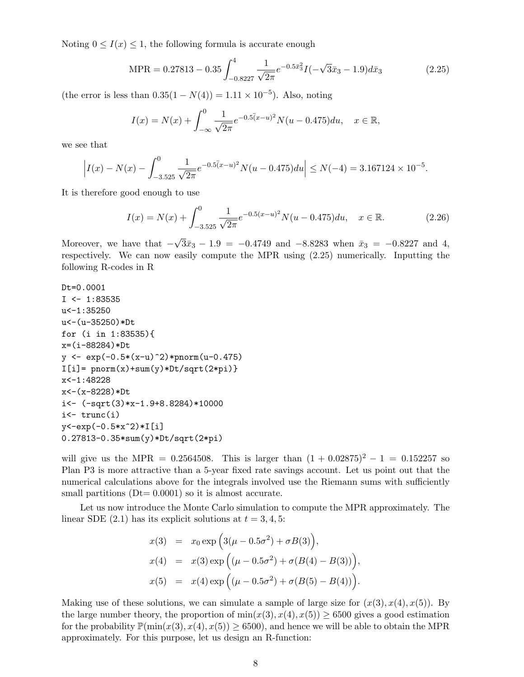Noting  $0 \leq I(x) \leq 1$ , the following formula is accurate enough

$$
MPR = 0.27813 - 0.35 \int_{-0.8227}^{4} \frac{1}{\sqrt{2\pi}} e^{-0.5\bar{x}_3^2} I(-\sqrt{3}\bar{x}_3 - 1.9) d\bar{x}_3
$$
 (2.25)

(the error is less than  $0.35(1 - N(4)) = 1.11 \times 10^{-5}$ ). Also, noting

$$
I(x) = N(x) + \int_{-\infty}^{0} \frac{1}{\sqrt{2\pi}} e^{-0.5(x-u)^2} N(u - 0.475) du, \quad x \in \mathbb{R},
$$

we see that

$$
\left| I(x) - N(x) - \int_{-3.525}^{0} \frac{1}{\sqrt{2\pi}} e^{-0.5(x-u)^2} N(u - 0.475) du \right| \le N(-4) = 3.167124 \times 10^{-5}.
$$

It is therefore good enough to use

$$
I(x) = N(x) + \int_{-3.525}^{0} \frac{1}{\sqrt{2\pi}} e^{-0.5(x-u)^2} N(u - 0.475) du, \quad x \in \mathbb{R}.
$$
 (2.26)

Moreover, we have that  $-$ √  $3\bar{x}_3 - 1.9 = -0.4749$  and  $-8.8283$  when  $\bar{x}_3 = -0.8227$  and 4, respectively. We can now easily compute the MPR using (2.25) numerically. Inputting the following R-codes in R

```
Dt=0.0001
I \leftarrow 1:83535u < -1:35250u<-(u-35250)*Dt
for (i in 1:83535){
x=(i-88284)*Dt
y <- exp(-0.5*(x-u)^2)*pnorm(u-0.475)
I[i] = pnorm(x) + sum(y) *Dt/sqrt(2*pi)x<-1:48228
x<-(x-8228)*Dt
i<- (-sqrt(3)*x-1.9+8.8284)*10000
i <- trunc(i)y<-exp(-0.5*x^2)*I[i]
0.27813-0.35*sum(y)*Dt/sqrt(2*pi)
```
will give us the MPR = 0.2564508. This is larger than  $(1 + 0.02875)^2 - 1 = 0.152257$  so Plan P3 is more attractive than a 5-year fixed rate savings account. Let us point out that the numerical calculations above for the integrals involved use the Riemann sums with sufficiently small partitions  $(Dt= 0.0001)$  so it is almost accurate.

Let us now introduce the Monte Carlo simulation to compute the MPR approximately. The linear SDE  $(2.1)$  has its explicit solutions at  $t = 3, 4, 5$ :

$$
x(3) = x_0 \exp\left(3(\mu - 0.5\sigma^2) + \sigma B(3)\right),
$$
  
\n
$$
x(4) = x(3) \exp\left((\mu - 0.5\sigma^2) + \sigma(B(4) - B(3))\right),
$$
  
\n
$$
x(5) = x(4) \exp\left((\mu - 0.5\sigma^2) + \sigma(B(5) - B(4))\right).
$$

Making use of these solutions, we can simulate a sample of large size for  $(x(3), x(4), x(5))$ . By the large number theory, the proportion of  $\min(x(3), x(4), x(5)) \ge 6500$  gives a good estimation for the probability  $\mathbb{P}(\min(x(3), x(4), x(5)) \ge 6500)$ , and hence we will be able to obtain the MPR approximately. For this purpose, let us design an R-function: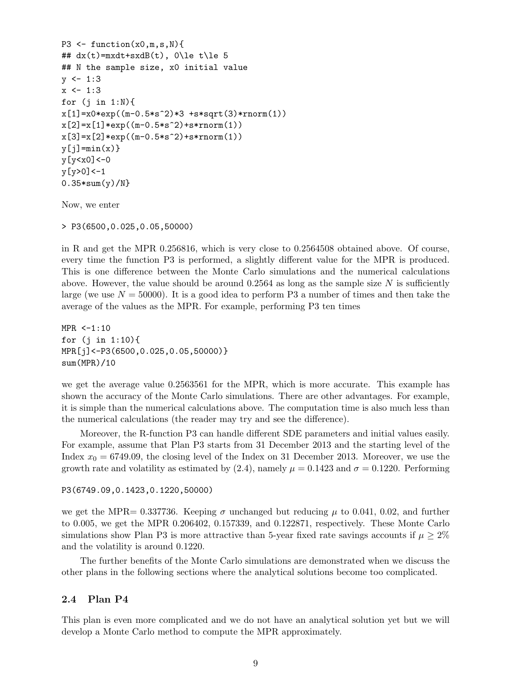```
P3 \leq function(x0,m,s,N)## dx(t) = mxdt + sxdB(t), 0\le t\le 5
## N the sample size, x0 initial value
y \leftarrow 1:3x \leftarrow 1:3for (j \text{ in } 1:N)x[1]=x0*exp((m-0.5*s^2)*3 +s*sqrt(3)*rnorm(1))x[2]=x[1]*exp((m-0.5*s^2)*s*rnorm(1))x[3]=x[2]*exp((m-0.5*s^2)+s*rnorm(1))y[j]=min(x)y[y<x0]<-0
y[y>0]<-10.35*sum(y)/N}
```
Now, we enter

> P3(6500,0.025,0.05,50000)

in R and get the MPR 0.256816, which is very close to 0.2564508 obtained above. Of course, every time the function P3 is performed, a slightly different value for the MPR is produced. This is one difference between the Monte Carlo simulations and the numerical calculations above. However, the value should be around  $0.2564$  as long as the sample size N is sufficiently large (we use  $N = 50000$ ). It is a good idea to perform P3 a number of times and then take the average of the values as the MPR. For example, performing P3 ten times

 $MPR < -1:10$ for (j in 1:10){ MPR[j]<-P3(6500,0.025,0.05,50000)} sum(MPR)/10

we get the average value 0.2563561 for the MPR, which is more accurate. This example has shown the accuracy of the Monte Carlo simulations. There are other advantages. For example, it is simple than the numerical calculations above. The computation time is also much less than the numerical calculations (the reader may try and see the difference).

Moreover, the R-function P3 can handle different SDE parameters and initial values easily. For example, assume that Plan P3 starts from 31 December 2013 and the starting level of the Index  $x_0 = 6749.09$ , the closing level of the Index on 31 December 2013. Moreover, we use the growth rate and volatility as estimated by (2.4), namely  $\mu = 0.1423$  and  $\sigma = 0.1220$ . Performing

P3(6749.09,0.1423,0.1220,50000)

we get the MPR= 0.337736. Keeping  $\sigma$  unchanged but reducing  $\mu$  to 0.041, 0.02, and further to 0.005, we get the MPR 0.206402, 0.157339, and 0.122871, respectively. These Monte Carlo simulations show Plan P3 is more attractive than 5-year fixed rate savings accounts if  $\mu \geq 2\%$ and the volatility is around 0.1220.

The further benefits of the Monte Carlo simulations are demonstrated when we discuss the other plans in the following sections where the analytical solutions become too complicated.

### 2.4 Plan P4

This plan is even more complicated and we do not have an analytical solution yet but we will develop a Monte Carlo method to compute the MPR approximately.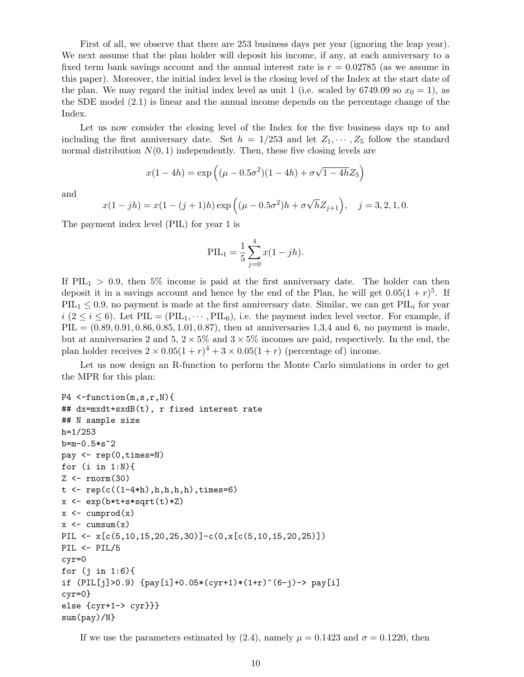First of all, we observe that there are 253 business days per year (ignoring the leap year). We next assume that the plan holder will deposit his income, if any, at each anniversary to a fixed term bank savings account and the annual interest rate is  $r = 0.02785$  (as we assume in this paper). Moreover, the initial index level is the closing level of the Index at the start date of the plan. We may regard the initial index level as unit 1 (i.e. scaled by 6749.09 so  $x_0 = 1$ ), as the SDE model (2.1) is linear and the annual income depends on the percentage change of the Index.

Let us now consider the closing level of the Index for the five business days up to and including the first anniversary date. Set  $h = 1/253$  and let  $Z_1, \dots, Z_5$  follow the standard normal distribution  $N(0, 1)$  independently. Then, these five closing levels are

$$
x(1 - 4h) = \exp\left((\mu - 0.5\sigma^2)(1 - 4h) + \sigma\sqrt{1 - 4h}Z_5\right)
$$

and

$$
x(1 - jh) = x(1 - (j + 1)h) \exp\left((\mu - 0.5\sigma^2)h + \sigma\sqrt{h}Z_{j+1}\right), \quad j = 3, 2, 1, 0.
$$

The payment index level (PIL) for year 1 is

$$
PIL_1 = \frac{1}{5} \sum_{j=0}^{4} x(1 - jh).
$$

If  $PIL<sub>1</sub> > 0.9$ , then 5% income is paid at the first anniversary date. The holder can then deposit it in a savings account and hence by the end of the Plan, he will get  $0.05(1+r)^5$ . If  $PIL_1 \leq 0.9$ , no payment is made at the first anniversary date. Similar, we can get  $PIL_i$  for year  $i$  ( $2 \le i \le 6$ ). Let PIL = (PIL<sub>1</sub>,  $\dots$ , PIL<sub>6</sub>), i.e. the payment index level vector. For example, if  $PIL = (0.89, 0.91, 0.86, 0.85, 1.01, 0.87),$  then at anniversaries 1,3,4 and 6, no payment is made, but at anniversaries 2 and  $5, 2 \times 5\%$  and  $3 \times 5\%$  incomes are paid, respectively. In the end, the plan holder receives  $2 \times 0.05(1+r)^4 + 3 \times 0.05(1+r)$  (percentage of) income.

Let us now design an R-function to perform the Monte Carlo simulations in order to get the MPR for this plan:

```
P4 \leq-function(m,s,r,N){
## dx=mxdt+sxdB(t), r fixed interest rate
## N sample size
h=1/253
b=m-0.5*s^2pay <- rep(0,times=N)
for (i \text{ in } 1:N)Z \leftarrow \text{rnorm}(30)t < -\text{rep}(c((1-4*h),h,h,h,h),time=6)x \leftarrow \exp(b*t+s*sqrt(t)*Z)x \leftarrow \text{cumprod}(x)x \leftarrow \text{cumsum}(x)PIL \leftarrow x[c(5,10,15,20,25,30)]-c(0,x[c(5,10,15,20,25)])
PIL \leftarrow PIL/5
cyr=0
for (i \text{ in } 1:6)if (PIL[j]>0.9) {pay[i]+0.05*(cyr+1)*(1+r)^(6-j)-> pay[i]
cyr=0}
else {cyr+1-> cyr}}}
sum(pay)/N}
```

```
If we use the parameters estimated by (2.4), namely \mu = 0.1423 and \sigma = 0.1220, then
```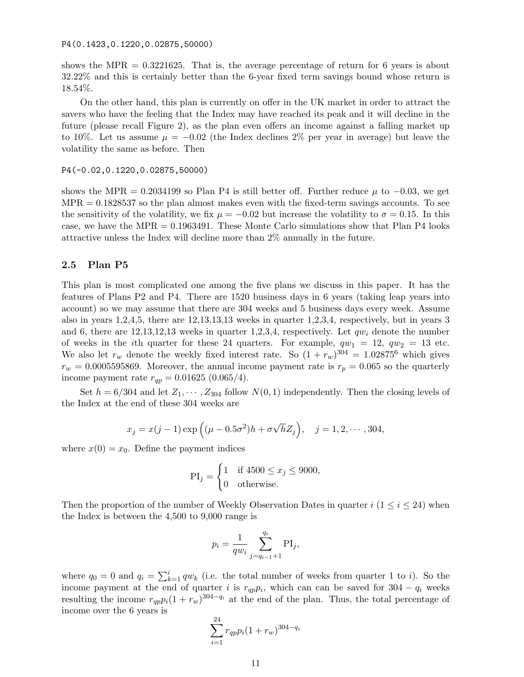P4(0.1423,0.1220,0.02875,50000)

shows the MPR  $= 0.3221625$ . That is, the average percentage of return for 6 years is about 32.22% and this is certainly better than the 6-year fixed term savings bound whose return is 18.54%.

On the other hand, this plan is currently on offer in the UK market in order to attract the savers who have the feeling that the Index may have reached its peak and it will decline in the future (please recall Figure 2), as the plan even offers an income against a falling market up to 10%. Let us assume  $\mu = -0.02$  (the Index declines 2% per year in average) but leave the volatility the same as before. Then

#### P4(-0.02,0.1220,0.02875,50000)

shows the MPR = 0.2034199 so Plan P4 is still better off. Further reduce  $\mu$  to -0.03, we get  $MPR = 0.1828537$  so the plan almost makes even with the fixed-term savings accounts. To see the sensitivity of the volatility, we fix  $\mu = -0.02$  but increase the volatility to  $\sigma = 0.15$ . In this case, we have the  $MPR = 0.1963491$ . These Monte Carlo simulations show that Plan P4 looks attractive unless the Index will decline more than 2% annually in the future.

#### 2.5 Plan P5

This plan is most complicated one among the five plans we discuss in this paper. It has the features of Plans P2 and P4. There are 1520 business days in 6 years (taking leap years into account) so we may assume that there are 304 weeks and 5 business days every week. Assume also in years 1,2,4,5, there are 12,13,13,13 weeks in quarter 1,2,3,4, respectively, but in years 3 and 6, there are  $12,13,12,13$  weeks in quarter 1,2,3,4, respectively. Let  $qw_i$  denote the number of weeks in the *i*th quarter for these 24 quarters. For example,  $qw_1 = 12$ ,  $qw_2 = 13$  etc. We also let  $r_w$  denote the weekly fixed interest rate. So  $(1 + r_w)^{304} = 1.02875^6$  which gives  $r_w = 0.0005595869$ . Moreover, the annual income payment rate is  $r_p = 0.065$  so the quarterly income payment rate  $r_{qp} = 0.01625 (0.065/4)$ .

Set  $h = 6/304$  and let  $Z_1, \dots, Z_{304}$  follow  $N(0, 1)$  independently. Then the closing levels of the Index at the end of these 304 weeks are

$$
x_j = x(j-1) \exp((\mu - 0.5\sigma^2)h + \sigma\sqrt{h}Z_j), \quad j = 1, 2, \cdots, 304,
$$

where  $x(0) = x_0$ . Define the payment indices

$$
\text{PI}_j = \begin{cases} 1 & \text{if } 4500 \le x_j \le 9000, \\ 0 & \text{otherwise.} \end{cases}
$$

Then the proportion of the number of Weekly Observation Dates in quarter  $i$  (1  $\le i \le 24$ ) when the Index is between the 4,500 to 9,000 range is

$$
p_i = \frac{1}{qw_i} \sum_{j=q_{i-1}+1}^{q_i} \text{PI}_j,
$$

where  $q_0 = 0$  and  $q_i = \sum_{k=1}^{i} q w_k$  (i.e. the total number of weeks from quarter 1 to *i*). So the income payment at the end of quarter i is  $r_{qp}p_i$ , which can can be saved for 304 –  $q_i$  weeks resulting the income  $r_{qp}p_i(1+r_w)^{304-q_i}$  at the end of the plan. Thus, the total percentage of income over the 6 years is

$$
\sum_{i=1}^{24} r_{qp} p_i (1 + r_w)^{304 - q_i}
$$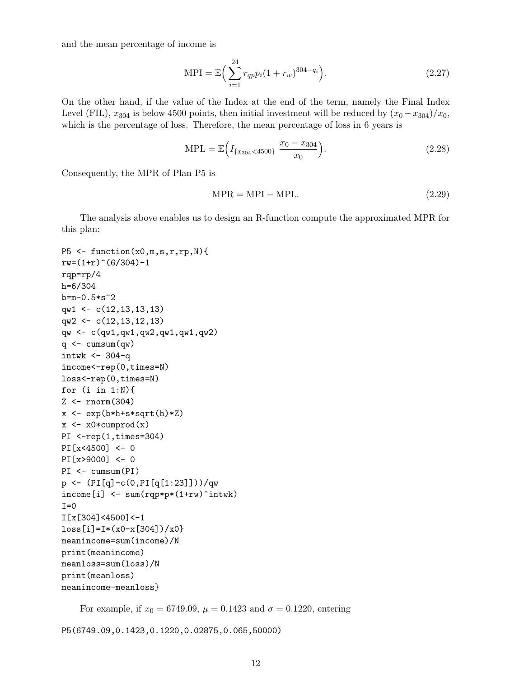and the mean percentage of income is

$$
MPI = \mathbb{E}\left(\sum_{i=1}^{24} r_{qp} p_i (1 + r_w)^{304 - q_i}\right).
$$
\n(2.27)

On the other hand, if the value of the Index at the end of the term, namely the Final Index Level (FIL),  $x_{304}$  is below 4500 points, then initial investment will be reduced by  $(x_0 - x_{304})/x_0$ , which is the percentage of loss. Therefore, the mean percentage of loss in 6 years is

$$
MPL = \mathbb{E}\Big(I_{\{x_{304} < 4500\}} \frac{x_0 - x_{304}}{x_0}\Big). \tag{2.28}
$$

Consequently, the MPR of Plan P5 is

$$
MPR = MPI - MPL.
$$
\n(2.29)

The analysis above enables us to design an R-function compute the approximated MPR for this plan:

```
P5 \leftarrow function(x0,m,s,r,rp,N)rw=(1+r)^{6}(6/304)-1rqp=rp/4
h=6/304
b=m-0.5*s^2qw1 <- c(12,13,13,13)
qw2 \leftarrow c(12,13,12,13)
qw <- c(qw1,qw1,qw2,qw1,qw1,qw2)
q \leftarrow \text{cumsum}(qw)intwk < -304-qincome<-rep(0,times=N)
loss<-rep(0,times=N)
for (i in 1:N){
Z \leftarrow \text{rnorm}(304)x \leftarrow \exp(b * h + s * s q r t (h) * Z)x \leftarrow x0*cumprod(x)PI <- rep(1, times=304)
PI[x<4500] <- 0
PI[x>9000] <- 0
PI <- cumsum(PI)
p <- (PI[q]-c(0,PI[q[1:23]]))/qw
income[i] <- sum(rqp*p*(1+rw)^intwk)
T=0I[x[304]<4500]<-1
loss[i]=I*(x0-x[304])/x0meanincome=sum(income)/N
print(meanincome)
meanloss=sum(loss)/N
print(meanloss)
meanincome-meanloss}
```
For example, if  $x_0 = 6749.09$ ,  $\mu = 0.1423$  and  $\sigma = 0.1220$ , entering

P5(6749.09,0.1423,0.1220,0.02875,0.065,50000)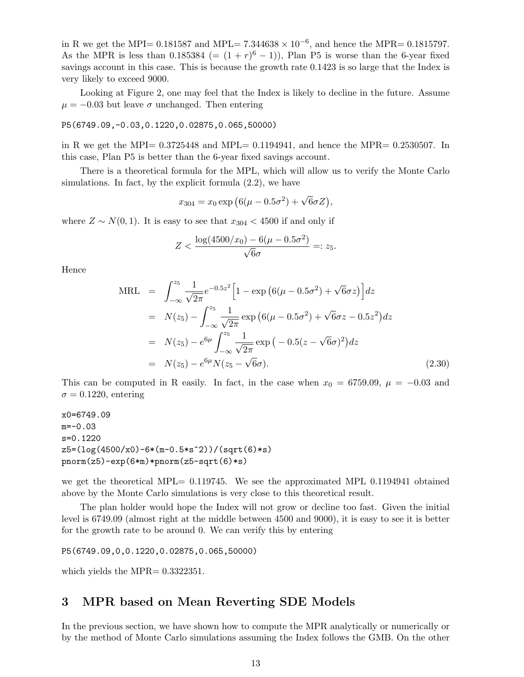in R we get the MPI= 0.181587 and MPL=  $7.344638 \times 10^{-6}$ , and hence the MPR= 0.1815797. As the MPR is less than 0.185384 (=  $(1 + r)^6 - 1$ ), Plan P5 is worse than the 6-year fixed savings account in this case. This is because the growth rate 0.1423 is so large that the Index is very likely to exceed 9000.

Looking at Figure 2, one may feel that the Index is likely to decline in the future. Assume  $\mu = -0.03$  but leave  $\sigma$  unchanged. Then entering

$$
P5(6749.09, -0.03, 0.1220, 0.02875, 0.065, 50000)
$$

in R we get the MPI=  $0.3725448$  and MPL=  $0.1194941$ , and hence the MPR=  $0.2530507$ . In this case, Plan P5 is better than the 6-year fixed savings account.

There is a theoretical formula for the MPL, which will allow us to verify the Monte Carlo simulations. In fact, by the explicit formula  $(2.2)$ , we have

$$
x_{304} = x_0 \exp (6(\mu - 0.5\sigma^2) + \sqrt{6}\sigma Z),
$$

where  $Z \sim N(0, 1)$ . It is easy to see that  $x_{304} < 4500$  if and only if

$$
Z < \frac{\log(4500/x_0) - 6(\mu - 0.5\sigma^2)}{\sqrt{6}\sigma} =: z_5.
$$

Hence

$$
\begin{split}\n\text{MRL} &= \int_{-\infty}^{z_5} \frac{1}{\sqrt{2\pi}} e^{-0.5z^2} \left[ 1 - \exp\left(6(\mu - 0.5\sigma^2) + \sqrt{6}\sigma z\right) \right] dz \\
&= N(z_5) - \int_{-\infty}^{z_5} \frac{1}{\sqrt{2\pi}} \exp\left(6(\mu - 0.5\sigma^2) + \sqrt{6}\sigma z - 0.5z^2\right) dz \\
&= N(z_5) - e^{6\mu} \int_{-\infty}^{z_5} \frac{1}{\sqrt{2\pi}} \exp\left(-0.5(z - \sqrt{6}\sigma)^2\right) dz \\
&= N(z_5) - e^{6\mu} N(z_5 - \sqrt{6}\sigma).\n\end{split} \tag{2.30}
$$

This can be computed in R easily. In fact, in the case when  $x_0 = 6759.09$ ,  $\mu = -0.03$  and  $\sigma = 0.1220$ , entering

```
x0=6749.09
m=-0.03
s=0.1220
z5=(\log(4500/x0)-6*(m-0.5*s^2))/(sqrt(6)*s)pnorm(z5)-exp(6*m)*pnorm(z5-sqrt(6)*s)
```
we get the theoretical MPL $= 0.119745$ . We see the approximated MPL 0.1194941 obtained above by the Monte Carlo simulations is very close to this theoretical result.

The plan holder would hope the Index will not grow or decline too fast. Given the initial level is 6749.09 (almost right at the middle between 4500 and 9000), it is easy to see it is better for the growth rate to be around 0. We can verify this by entering

P5(6749.09,0,0.1220,0.02875,0.065,50000)

which yields the MPR=  $0.3322351$ .

# 3 MPR based on Mean Reverting SDE Models

In the previous section, we have shown how to compute the MPR analytically or numerically or by the method of Monte Carlo simulations assuming the Index follows the GMB. On the other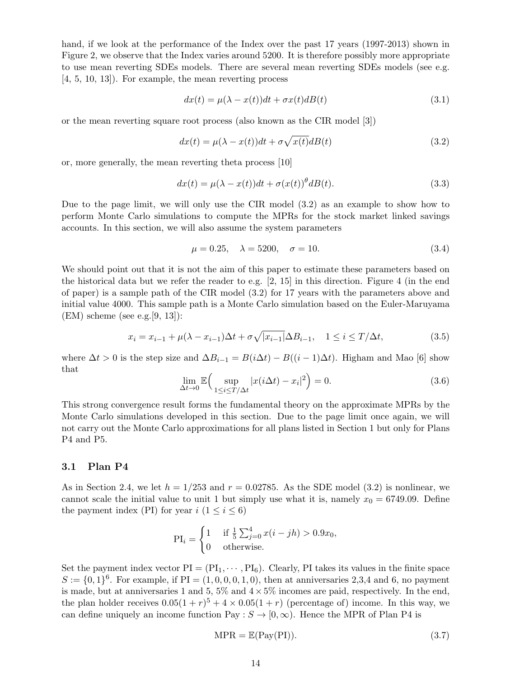hand, if we look at the performance of the Index over the past 17 years (1997-2013) shown in Figure 2, we observe that the Index varies around 5200. It is therefore possibly more appropriate to use mean reverting SDEs models. There are several mean reverting SDEs models (see e.g. [4, 5, 10, 13]). For example, the mean reverting process

$$
dx(t) = \mu(\lambda - x(t))dt + \sigma x(t)dB(t)
$$
\n(3.1)

or the mean reverting square root process (also known as the CIR model [3])

$$
dx(t) = \mu(\lambda - x(t))dt + \sigma\sqrt{x(t)}dB(t)
$$
\n(3.2)

or, more generally, the mean reverting theta process [10]

$$
dx(t) = \mu(\lambda - x(t))dt + \sigma(x(t))^{\theta}dB(t).
$$
\n(3.3)

Due to the page limit, we will only use the CIR model (3.2) as an example to show how to perform Monte Carlo simulations to compute the MPRs for the stock market linked savings accounts. In this section, we will also assume the system parameters

$$
\mu = 0.25, \quad \lambda = 5200, \quad \sigma = 10. \tag{3.4}
$$

We should point out that it is not the aim of this paper to estimate these parameters based on the historical data but we refer the reader to e.g. [2, 15] in this direction. Figure 4 (in the end of paper) is a sample path of the CIR model (3.2) for 17 years with the parameters above and initial value 4000. This sample path is a Monte Carlo simulation based on the Euler-Maruyama  $(EM)$  scheme (see e.g. [9, 13]):

$$
x_i = x_{i-1} + \mu(\lambda - x_{i-1})\Delta t + \sigma\sqrt{|x_{i-1}|}\Delta B_{i-1}, \quad 1 \le i \le T/\Delta t,
$$
\n(3.5)

where  $\Delta t > 0$  is the step size and  $\Delta B_{i-1} = B(i\Delta t) - B((i-1)\Delta t)$ . Higham and Mao [6] show that

$$
\lim_{\Delta t \to 0} \mathbb{E} \Big( \sup_{1 \le i \le T/\Delta t} |x(i\Delta t) - x_i|^2 \Big) = 0. \tag{3.6}
$$

This strong convergence result forms the fundamental theory on the approximate MPRs by the Monte Carlo simulations developed in this section. Due to the page limit once again, we will not carry out the Monte Carlo approximations for all plans listed in Section 1 but only for Plans P4 and P5.

#### 3.1 Plan P4

As in Section 2.4, we let  $h = 1/253$  and  $r = 0.02785$ . As the SDE model (3.2) is nonlinear, we cannot scale the initial value to unit 1 but simply use what it is, namely  $x_0 = 6749.09$ . Define the payment index (PI) for year  $i$   $(1 \leq i \leq 6)$ 

$$
PI_{i} = \begin{cases} 1 & \text{if } \frac{1}{5} \sum_{j=0}^{4} x(i - jh) > 0.9x_{0}, \\ 0 & \text{otherwise.} \end{cases}
$$

Set the payment index vector  $PI = (PI_1, \dots, PI_6)$ . Clearly, PI takes its values in the finite space  $S := \{0, 1\}^6$ . For example, if PI =  $(1, 0, 0, 0, 1, 0)$ , then at anniversaries 2,3,4 and 6, no payment is made, but at anniversaries 1 and 5, 5% and  $4 \times 5\%$  incomes are paid, respectively. In the end, the plan holder receives  $0.05(1+r)^5 + 4 \times 0.05(1+r)$  (percentage of) income. In this way, we can define uniquely an income function Pay :  $S \rightarrow [0,\infty)$ . Hence the MPR of Plan P4 is

$$
MPR = \mathbb{E}(\text{Pay}(PI)).\tag{3.7}
$$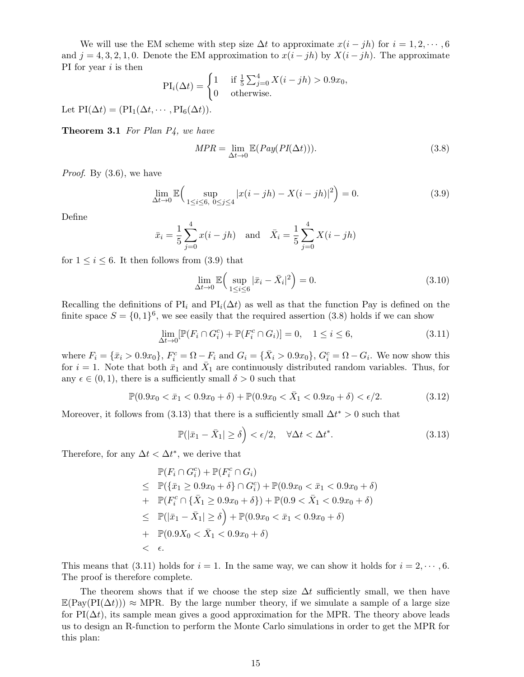We will use the EM scheme with step size  $\Delta t$  to approximate  $x(i - jh)$  for  $i = 1, 2, \dots, 6$ and  $j = 4, 3, 2, 1, 0$ . Denote the EM approximation to  $x(i - jh)$  by  $X(i - jh)$ . The approximate PI for year  $i$  is then

$$
\text{PI}_i(\Delta t) = \begin{cases} 1 & \text{if } \frac{1}{5} \sum_{j=0}^4 X(i-jh) > 0.9x_0, \\ 0 & \text{otherwise.} \end{cases}
$$

Let  $PI(\Delta t) = (PI_1(\Delta t, \dots, PI_6(\Delta t)).$ 

**Theorem 3.1** For Plan  $P_4$ , we have

$$
MPR = \lim_{\Delta t \to 0} \mathbb{E}(Pay(PI(\Delta t))). \qquad (3.8)
$$

Proof. By (3.6), we have

$$
\lim_{\Delta t \to 0} \mathbb{E} \Big( \sup_{1 \le i \le 6, \ 0 \le j \le 4} |x(i - jh) - X(i - jh)|^2 \Big) = 0. \tag{3.9}
$$

Define

$$
\bar{x}_i = \frac{1}{5} \sum_{j=0}^{4} x(i - jh)
$$
 and  $\bar{X}_i = \frac{1}{5} \sum_{j=0}^{4} X(i - jh)$ 

for  $1 \leq i \leq 6$ . It then follows from (3.9) that

$$
\lim_{\Delta t \to 0} \mathbb{E} \Big( \sup_{1 \le i \le 6} |\bar{x}_i - \bar{X}_i|^2 \Big) = 0. \tag{3.10}
$$

Recalling the definitions of PI<sub>i</sub> and PI<sub>i</sub>( $\Delta t$ ) as well as that the function Pay is defined on the finite space  $S = \{0,1\}^6$ , we see easily that the required assertion (3.8) holds if we can show

$$
\lim_{\Delta t \to 0} [\mathbb{P}(F_i \cap G_i^c) + \mathbb{P}(F_i^c \cap G_i)] = 0, \quad 1 \le i \le 6,
$$
\n(3.11)

where  $F_i = {\bar{x}_i > 0.9x_0}$ ,  $F_i^c = \Omega - F_i$  and  $G_i = {\bar{X}_i > 0.9x_0}$ ,  $G_i^c = \Omega - G_i$ . We now show this for  $i = 1$ . Note that both  $\bar{x}_1$  and  $\bar{X}_1$  are continuously distributed random variables. Thus, for any  $\epsilon \in (0, 1)$ , there is a sufficiently small  $\delta > 0$  such that

$$
\mathbb{P}(0.9x_0 < \bar{x}_1 < 0.9x_0 + \delta) + \mathbb{P}(0.9x_0 < \bar{X}_1 < 0.9x_0 + \delta) < \epsilon/2. \tag{3.12}
$$

Moreover, it follows from (3.13) that there is a sufficiently small  $\Delta t^* > 0$  such that

$$
\mathbb{P}(|\bar{x}_1 - \bar{X}_1| \ge \delta) < \epsilon/2, \quad \forall \Delta t < \Delta t^*.
$$
\n(3.13)

Therefore, for any  $\Delta t < \Delta t^*$ , we derive that

$$
\mathbb{P}(F_i \cap G_i^c) + \mathbb{P}(F_i^c \cap G_i)
$$
\n
$$
\leq \mathbb{P}(\{\bar{x}_1 \geq 0.9x_0 + \delta\} \cap G_i^c) + \mathbb{P}(0.9x_0 < \bar{x}_1 < 0.9x_0 + \delta)
$$
\n
$$
+ \mathbb{P}(F_i^c \cap \{\bar{X}_1 \geq 0.9x_0 + \delta\}) + \mathbb{P}(0.9 < \bar{X}_1 < 0.9x_0 + \delta)
$$
\n
$$
\leq \mathbb{P}(|\bar{x}_1 - \bar{X}_1| \geq \delta) + \mathbb{P}(0.9x_0 < \bar{x}_1 < 0.9x_0 + \delta)
$$
\n
$$
+ \mathbb{P}(0.9X_0 < \bar{X}_1 < 0.9x_0 + \delta)
$$
\n
$$
+ \epsilon.
$$

This means that (3.11) holds for  $i = 1$ . In the same way, we can show it holds for  $i = 2, \dots, 6$ . The proof is therefore complete.

The theorem shows that if we choose the step size  $\Delta t$  sufficiently small, we then have  $\mathbb{E}(\text{Pay}(PI(\Delta t))) \approx \text{MPR}$ . By the large number theory, if we simulate a sample of a large size for PI( $\Delta t$ ), its sample mean gives a good approximation for the MPR. The theory above leads us to design an R-function to perform the Monte Carlo simulations in order to get the MPR for this plan: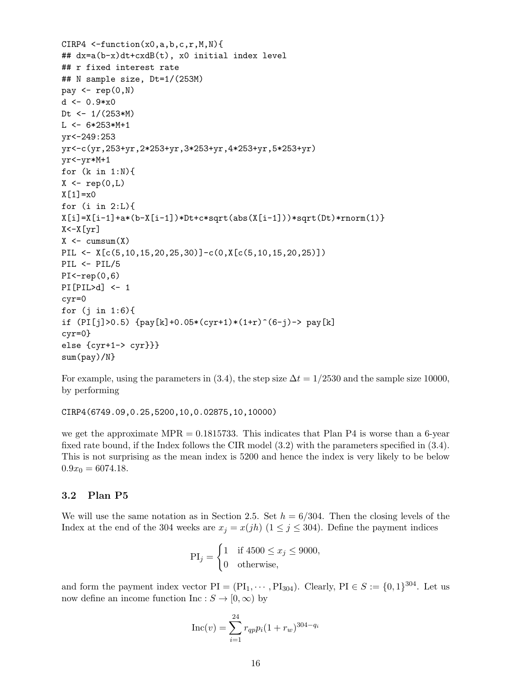```
CIRP4 \le-function(x0,a,b,c,r,M,N){
## dx=a(b-x)dt+cxdB(t), x0 initial index level
## r fixed interest rate
## N sample size, Dt=1/(253M)
pay \leftarrow \text{rep}(0, N)d \leftarrow 0.9*x0Dt <- 1/(253*M)
L < -6*253*M+1yr<-249:253
yr<-c(yr,253+yr,2*253+yr,3*253+yr,4*253+yr,5*253+yr)
yr<-yr*M+1
for (k \in \{1:N\})X \leftarrow \text{rep}(0, L)X[1]=x0for (i in 2:L){
X[i]=X[i-1]+a*(b-X[i-1])*Dt+c*sqrt(abs(X[i-1]))*sqrt(Dt)*rnorm(1)]X < -X[yr]X \leftarrow \text{cumsum}(X)PIL <- X[c(5,10,15,20,25,30)]-c(0,X[c(5,10,15,20,25)])
PIL <- PIL/5
PI < -rep(0,6)PI[PIL>d] <- 1
cyr=0
for (j in 1:6){
if (PI[j]>0.5) {pay[k]+0.05*(cyr+1)*(1+r)^(6-j)-> pay[k]
cyr=0}
else {cyr+1-> cyr}}}
sum(pay)/N}
```
For example, using the parameters in (3.4), the step size  $\Delta t = 1/2530$  and the sample size 10000, by performing

CIRP4(6749.09,0.25,5200,10,0.02875,10,10000)

we get the approximate  $MPR = 0.1815733$ . This indicates that Plan P4 is worse than a 6-year fixed rate bound, if the Index follows the CIR model (3.2) with the parameters specified in (3.4). This is not surprising as the mean index is 5200 and hence the index is very likely to be below  $0.9x_0 = 6074.18.$ 

### 3.2 Plan P5

We will use the same notation as in Section 2.5. Set  $h = 6/304$ . Then the closing levels of the Index at the end of the 304 weeks are  $x_j = x(jh)$  ( $1 \le j \le 304$ ). Define the payment indices

$$
\text{PI}_j = \begin{cases} 1 & \text{if } 4500 \le x_j \le 9000, \\ 0 & \text{otherwise,} \end{cases}
$$

and form the payment index vector  $PI = (PI_1, \dots, PI_{304})$ . Clearly,  $PI \in S := \{0, 1\}^{304}$ . Let us now define an income function Inc :  $S \to [0, \infty)$  by

$$
Inc(v) = \sum_{i=1}^{24} r_{qp} p_i (1 + r_w)^{304 - q_i}
$$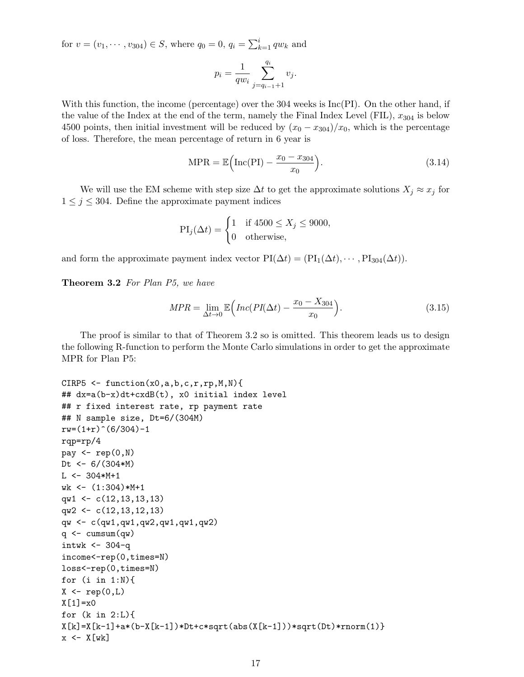for  $v = (v_1, \dots, v_{304}) \in S$ , where  $q_0 = 0$ ,  $q_i = \sum_{k=1}^{i} q w_k$  and

$$
p_i = \frac{1}{q w_i} \sum_{j=q_{i-1}+1}^{q_i} v_j.
$$

With this function, the income (percentage) over the 304 weeks is  $Inc(PI)$ . On the other hand, if the value of the Index at the end of the term, namely the Final Index Level (FIL),  $x_{304}$  is below 4500 points, then initial investment will be reduced by  $(x_0 - x_{304})/x_0$ , which is the percentage of loss. Therefore, the mean percentage of return in 6 year is

$$
MPR = \mathbb{E}\left(\text{Inc}(PI) - \frac{x_0 - x_{304}}{x_0}\right). \tag{3.14}
$$

We will use the EM scheme with step size  $\Delta t$  to get the approximate solutions  $X_j \approx x_j$  for  $1 \leq j \leq 304$ . Define the approximate payment indices

$$
\text{PI}_j(\Delta t) = \begin{cases} 1 & \text{if } 4500 \le X_j \le 9000, \\ 0 & \text{otherwise,} \end{cases}
$$

and form the approximate payment index vector  $PI(\Delta t) = (PI_1(\Delta t), \cdots, PI_{304}(\Delta t)).$ 

Theorem 3.2 For Plan P5, we have

$$
MPR = \lim_{\Delta t \to 0} \mathbb{E}\left(Inc(PI(\Delta t) - \frac{x_0 - X_{304}}{x_0})\right). \tag{3.15}
$$

The proof is similar to that of Theorem 3.2 so is omitted. This theorem leads us to design the following R-function to perform the Monte Carlo simulations in order to get the approximate MPR for Plan P5:

```
CIRP5 \leftarrow function(x0,a,b,c,r,rp,M,N){
## dx=a(b-x)dt+cxdB(t), x0 initial index level
## r fixed interest rate, rp payment rate
## N sample size, Dt=6/(304M)
rw=(1+r)^{6}(6/304)-1rqp=rp/4
pay \leq rep(0, N)Dt <- 6/(304*M)
L < -304*M+1wk \leftarrow (1:304)*M+1qw1 \leftarrow c(12,13,13,13)
qw2 \leftarrow c(12,13,12,13)
qw <- c(qw1,qw1,qw2,qw1,qw1,qw2)
q \leftarrow \text{cumsum}(qw)intwk < -304-qincome<-rep(0,times=N)
loss<-rep(0,times=N)
for (i in 1:N){
X \leftarrow \text{rep}(0, L)X[1]=x0for (k in 2:L){
X[k]=X[k-1]+a*(b-X[k-1])*Dt+c*sqrt(abs(X[k-1]))*sqrt(Dt)*rnorm(1)]x \leftarrow X[wk]
```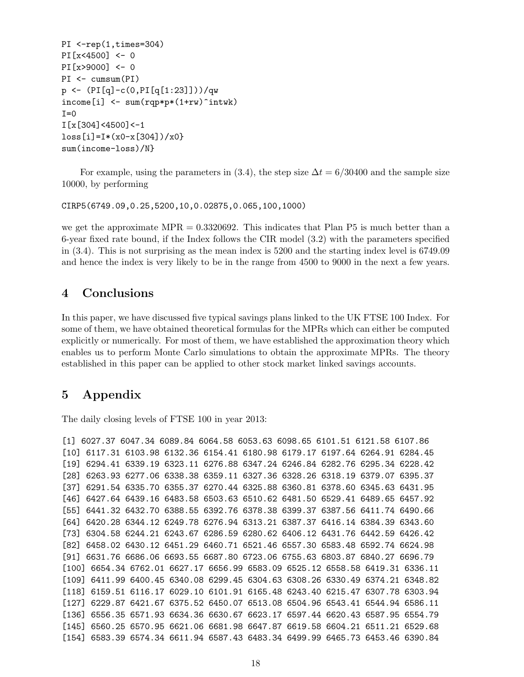```
PI \le-rep(1,times=304)
PI[x<4500] <- 0
PI[x>9000] <- 0
PI <- cumsum(PI)
p <- (PI[q]-c(0,PI[q[1:23]]))/qw
income[i] <- sum(rqp*p*(1+rw)^{\text{int}}wk)I=0I[x[304]<4500]<-1
loss[i]=I*(x0-x[304])/x0}
sum(income-loss)/N}
```
For example, using the parameters in (3.4), the step size  $\Delta t = 6/30400$  and the sample size 10000, by performing

CIRP5(6749.09,0.25,5200,10,0.02875,0.065,100,1000)

we get the approximate  $MPR = 0.3320692$ . This indicates that Plan P5 is much better than a 6-year fixed rate bound, if the Index follows the CIR model (3.2) with the parameters specified in (3.4). This is not surprising as the mean index is 5200 and the starting index level is 6749.09 and hence the index is very likely to be in the range from 4500 to 9000 in the next a few years.

# 4 Conclusions

In this paper, we have discussed five typical savings plans linked to the UK FTSE 100 Index. For some of them, we have obtained theoretical formulas for the MPRs which can either be computed explicitly or numerically. For most of them, we have established the approximation theory which enables us to perform Monte Carlo simulations to obtain the approximate MPRs. The theory established in this paper can be applied to other stock market linked savings accounts.

# 5 Appendix

The daily closing levels of FTSE 100 in year 2013:

```
[1] 6027.37 6047.34 6089.84 6064.58 6053.63 6098.65 6101.51 6121.58 6107.86
[10] 6117.31 6103.98 6132.36 6154.41 6180.98 6179.17 6197.64 6264.91 6284.45
[19] 6294.41 6339.19 6323.11 6276.88 6347.24 6246.84 6282.76 6295.34 6228.42
[28] 6263.93 6277.06 6338.38 6359.11 6327.36 6328.26 6318.19 6379.07 6395.37
[37] 6291.54 6335.70 6355.37 6270.44 6325.88 6360.81 6378.60 6345.63 6431.95
[46] 6427.64 6439.16 6483.58 6503.63 6510.62 6481.50 6529.41 6489.65 6457.92
[55] 6441.32 6432.70 6388.55 6392.76 6378.38 6399.37 6387.56 6411.74 6490.66
[64] 6420.28 6344.12 6249.78 6276.94 6313.21 6387.37 6416.14 6384.39 6343.60
[73] 6304.58 6244.21 6243.67 6286.59 6280.62 6406.12 6431.76 6442.59 6426.42
[82] 6458.02 6430.12 6451.29 6460.71 6521.46 6557.30 6583.48 6592.74 6624.98
[91] 6631.76 6686.06 6693.55 6687.80 6723.06 6755.63 6803.87 6840.27 6696.79
[100] 6654.34 6762.01 6627.17 6656.99 6583.09 6525.12 6558.58 6419.31 6336.11
[109] 6411.99 6400.45 6340.08 6299.45 6304.63 6308.26 6330.49 6374.21 6348.82
[118] 6159.51 6116.17 6029.10 6101.91 6165.48 6243.40 6215.47 6307.78 6303.94
[127] 6229.87 6421.67 6375.52 6450.07 6513.08 6504.96 6543.41 6544.94 6586.11
[136] 6556.35 6571.93 6634.36 6630.67 6623.17 6597.44 6620.43 6587.95 6554.79
[145] 6560.25 6570.95 6621.06 6681.98 6647.87 6619.58 6604.21 6511.21 6529.68
[154] 6583.39 6574.34 6611.94 6587.43 6483.34 6499.99 6465.73 6453.46 6390.84
```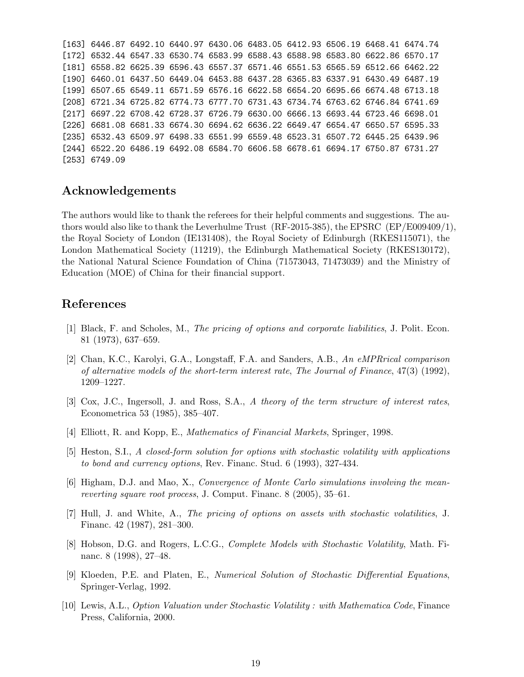[163] 6446.87 6492.10 6440.97 6430.06 6483.05 6412.93 6506.19 6468.41 6474.74 [172] 6532.44 6547.33 6530.74 6583.99 6588.43 6588.98 6583.80 6622.86 6570.17 [181] 6558.82 6625.39 6596.43 6557.37 6571.46 6551.53 6565.59 6512.66 6462.22 [190] 6460.01 6437.50 6449.04 6453.88 6437.28 6365.83 6337.91 6430.49 6487.19 [199] 6507.65 6549.11 6571.59 6576.16 6622.58 6654.20 6695.66 6674.48 6713.18 [208] 6721.34 6725.82 6774.73 6777.70 6731.43 6734.74 6763.62 6746.84 6741.69 [217] 6697.22 6708.42 6728.37 6726.79 6630.00 6666.13 6693.44 6723.46 6698.01 [226] 6681.08 6681.33 6674.30 6694.62 6636.22 6649.47 6654.47 6650.57 6595.33 [235] 6532.43 6509.97 6498.33 6551.99 6559.48 6523.31 6507.72 6445.25 6439.96 [244] 6522.20 6486.19 6492.08 6584.70 6606.58 6678.61 6694.17 6750.87 6731.27 [253] 6749.09

### Acknowledgements

The authors would like to thank the referees for their helpful comments and suggestions. The authors would also like to thank the Leverhulme Trust (RF-2015-385), the EPSRC (EP/E009409/1), the Royal Society of London (IE131408), the Royal Society of Edinburgh (RKES115071), the London Mathematical Society (11219), the Edinburgh Mathematical Society (RKES130172), the National Natural Science Foundation of China (71573043, 71473039) and the Ministry of Education (MOE) of China for their financial support.

### References

- [1] Black, F. and Scholes, M., The pricing of options and corporate liabilities, J. Polit. Econ. 81 (1973), 637–659.
- [2] Chan, K.C., Karolyi, G.A., Longstaff, F.A. and Sanders, A.B., An eMPRrical comparison of alternative models of the short-term interest rate, The Journal of Finance, 47(3) (1992), 1209–1227.
- [3] Cox, J.C., Ingersoll, J. and Ross, S.A., A theory of the term structure of interest rates, Econometrica 53 (1985), 385–407.
- [4] Elliott, R. and Kopp, E., Mathematics of Financial Markets, Springer, 1998.
- [5] Heston, S.I., A closed-form solution for options with stochastic volatility with applications to bond and currency options, Rev. Financ. Stud. 6 (1993), 327-434.
- [6] Higham, D.J. and Mao, X., Convergence of Monte Carlo simulations involving the meanreverting square root process, J. Comput. Financ. 8 (2005), 35–61.
- [7] Hull, J. and White, A., The pricing of options on assets with stochastic volatilities, J. Financ. 42 (1987), 281–300.
- [8] Hobson, D.G. and Rogers, L.C.G., Complete Models with Stochastic Volatility, Math. Financ. 8 (1998), 27–48.
- [9] Kloeden, P.E. and Platen, E., Numerical Solution of Stochastic Differential Equations, Springer-Verlag, 1992.
- [10] Lewis, A.L., Option Valuation under Stochastic Volatility : with Mathematica Code, Finance Press, California, 2000.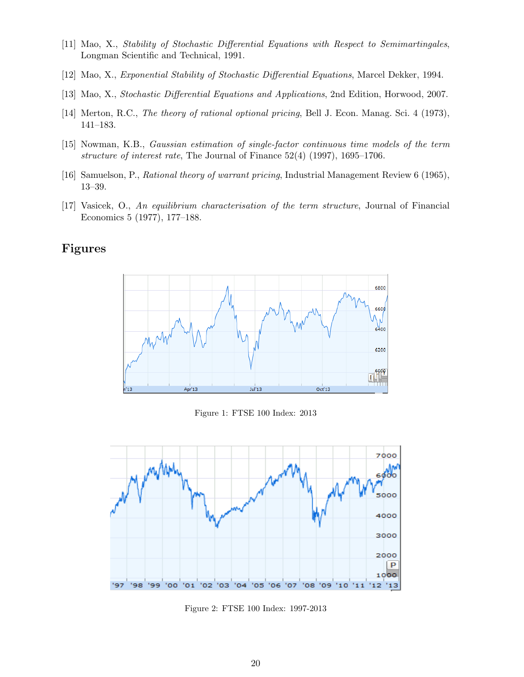- [11] Mao, X., Stability of Stochastic Differential Equations with Respect to Semimartingales, Longman Scientific and Technical, 1991.
- [12] Mao, X., Exponential Stability of Stochastic Differential Equations, Marcel Dekker, 1994.
- [13] Mao, X., Stochastic Differential Equations and Applications, 2nd Edition, Horwood, 2007.
- [14] Merton, R.C., *The theory of rational optional pricing*, Bell J. Econ. Manag. Sci. 4 (1973), 141–183.
- [15] Nowman, K.B., Gaussian estimation of single-factor continuous time models of the term structure of interest rate, The Journal of Finance 52(4) (1997), 1695–1706.
- [16] Samuelson, P., Rational theory of warrant pricing, Industrial Management Review 6 (1965), 13–39.
- [17] Vasicek, O., An equilibrium characterisation of the term structure, Journal of Financial Economics 5 (1977), 177–188.

# Figures



Figure 1: FTSE 100 Index: 2013



Figure 2: FTSE 100 Index: 1997-2013